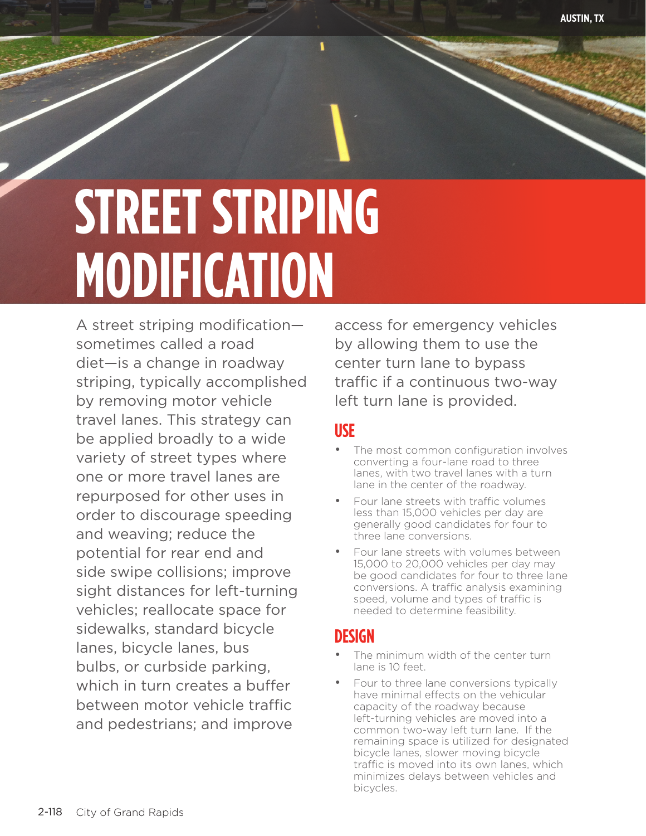# **STREET STRIPING MODIFICATION**

A street striping modification sometimes called a road diet—is a change in roadway striping, typically accomplished by removing motor vehicle travel lanes. This strategy can be applied broadly to a wide variety of street types where one or more travel lanes are repurposed for other uses in order to discourage speeding and weaving; reduce the potential for rear end and side swipe collisions; improve sight distances for left-turning vehicles; reallocate space for sidewalks, standard bicycle lanes, bicycle lanes, bus bulbs, or curbside parking, which in turn creates a buffer between motor vehicle traffic and pedestrians; and improve

access for emergency vehicles by allowing them to use the center turn lane to bypass traffic if a continuous two-way left turn lane is provided.

**AUSTIN, TX**

## **USE**

- The most common configuration involves converting a four-lane road to three lanes, with two travel lanes with a turn lane in the center of the roadway.
- Four lane streets with traffic volumes less than 15,000 vehicles per day are generally good candidates for four to three lane conversions.
- Four lane streets with volumes between 15,000 to 20,000 vehicles per day may be good candidates for four to three lane conversions. A traffic analysis examining speed, volume and types of traffic is needed to determine feasibility.

## **DESIGN**

- The minimum width of the center turn lane is 10 feet.
- Four to three lane conversions typically have minimal effects on the vehicular capacity of the roadway because left-turning vehicles are moved into a common two-way left turn lane. If the remaining space is utilized for designated bicycle lanes, slower moving bicycle traffic is moved into its own lanes, which minimizes delays between vehicles and bicycles.

street striping modification and the control of the control of the control of the control of the control of th<br>The control of the control of the control of the control of the control of the control of the control of the c